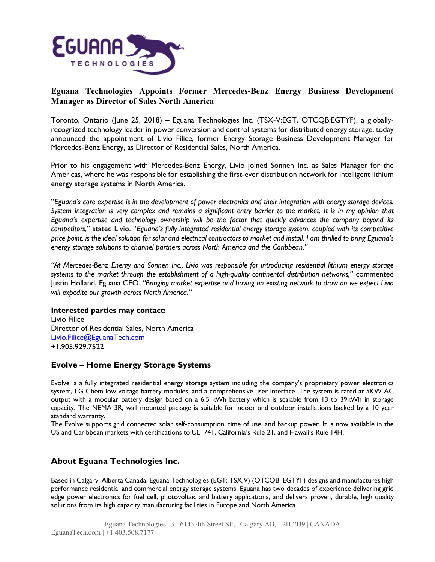

## **Eguana Technologies Appoints Former Mercedes-Benz Energy Business Development Manager as Director of Sales North America**

Toronto, Ontario (June 25, 2018) – Eguana Technologies Inc. (TSX-V:EGT, OTCQB:EGTYF), a globallyrecognized technology leader in power conversion and control systems for distributed energy storage, today announced the appointment of Livio Filice, former Energy Storage Business Development Manager for Mercedes-Benz Energy, as Director of Residential Sales, North America.

Prior to his engagement with Mercedes-Benz Energy, Livio joined Sonnen Inc. as Sales Manager for the Americas, where he was responsible for establishing the first-ever distribution network for intelligent lithium energy storage systems in North America.

"Eguana's core expertise is in the development of power electronics and their integration with energy storage devices. System integration is very complex and remains a significant entry barrier to the market. It is in my opinion that *Eguana's expertise and technology ownership will be the factor that quickly advances the company beyond its competitors,*" stated Livio. "*Eguana's fully integrated residential energy storage system, coupled with its competitive* price point, is the ideal solution for solar and electrical contractors to market and install. I am thrilled to bring Eguana's *energy storage solutions to channel partners across North America and the Caribbean."*

*"At Mercedes-Benz Energy and Sonnen Inc., Livio was responsible for introducing residential lithium energy storage systems to the market through the establishment of a high-quality continental distribution networks,"* commented Justin Holland, Eguana CEO. *"Bringing market expertise and having an existing network to draw on we expect Livio will expedite our growth across North America."* 

### **Interested parties may contact:**

Livio Filice Director of Residential Sales, North America Livio.Filice@EguanaTech.com +1.905.929.7522

## **Evolve – Home Energy Storage Systems**

Evolve is a fully integrated residential energy storage system including the company's proprietary power electronics system, LG Chem low voltage battery modules, and a comprehensive user interface. The system is rated at 5KW AC output with a modular battery design based on a 6.5 kWh battery which is scalable from 13 to 39kWh in storage capacity. The NEMA 3R, wall mounted package is suitable for indoor and outdoor installations backed by a 10 year standard warranty.

The Evolve supports grid connected solar self-consumption, time of use, and backup power. It is now available in the US and Caribbean markets with certifications to UL1741, California's Rule 21, and Hawaii's Rule 14H.

# **About Eguana Technologies Inc.**

Based in Calgary, Alberta Canada, Eguana Technologies (EGT: TSX.V) (OTCQB: EGTYF) designs and manufactures high performance residential and commercial energy storage systems. Eguana has two decades of experience delivering grid edge power electronics for fuel cell, photovoltaic and battery applications, and delivers proven, durable, high quality solutions from its high capacity manufacturing facilities in Europe and North America.